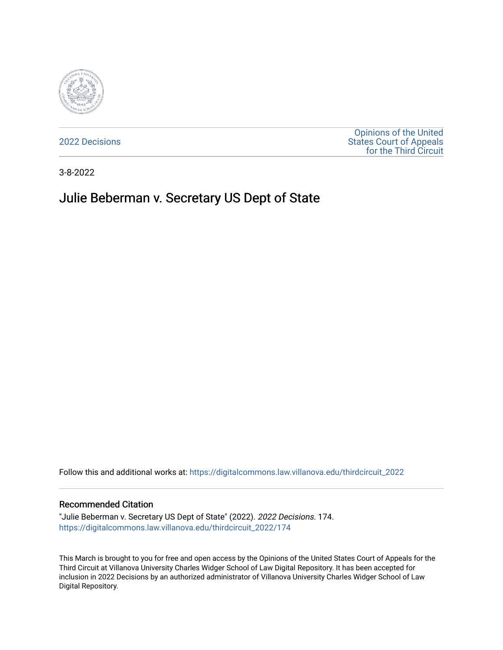

[2022 Decisions](https://digitalcommons.law.villanova.edu/thirdcircuit_2022)

[Opinions of the United](https://digitalcommons.law.villanova.edu/thirdcircuit)  [States Court of Appeals](https://digitalcommons.law.villanova.edu/thirdcircuit)  [for the Third Circuit](https://digitalcommons.law.villanova.edu/thirdcircuit) 

3-8-2022

# Julie Beberman v. Secretary US Dept of State

Follow this and additional works at: [https://digitalcommons.law.villanova.edu/thirdcircuit\\_2022](https://digitalcommons.law.villanova.edu/thirdcircuit_2022?utm_source=digitalcommons.law.villanova.edu%2Fthirdcircuit_2022%2F174&utm_medium=PDF&utm_campaign=PDFCoverPages) 

#### Recommended Citation

"Julie Beberman v. Secretary US Dept of State" (2022). 2022 Decisions. 174. [https://digitalcommons.law.villanova.edu/thirdcircuit\\_2022/174](https://digitalcommons.law.villanova.edu/thirdcircuit_2022/174?utm_source=digitalcommons.law.villanova.edu%2Fthirdcircuit_2022%2F174&utm_medium=PDF&utm_campaign=PDFCoverPages)

This March is brought to you for free and open access by the Opinions of the United States Court of Appeals for the Third Circuit at Villanova University Charles Widger School of Law Digital Repository. It has been accepted for inclusion in 2022 Decisions by an authorized administrator of Villanova University Charles Widger School of Law Digital Repository.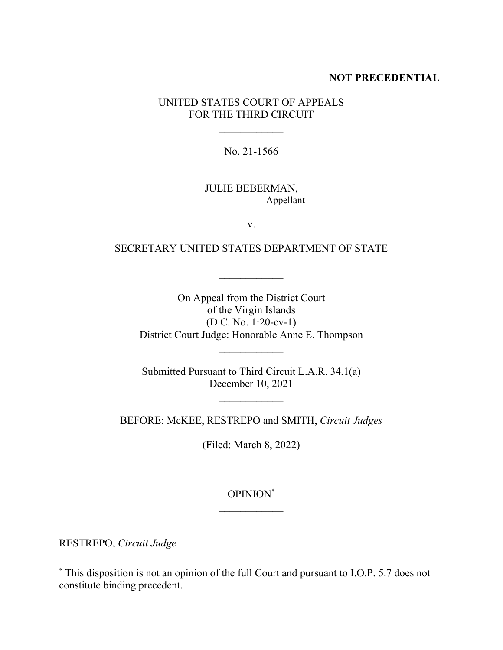## **NOT PRECEDENTIAL**

UNITED STATES COURT OF APPEALS FOR THE THIRD CIRCUIT

No. 21-1566

## JULIE BEBERMAN, Appellant

v.

## SECRETARY UNITED STATES DEPARTMENT OF STATE

 $\mathcal{L}_\text{max}$ 

On Appeal from the District Court of the Virgin Islands (D.C. No. 1:20-cv-1) District Court Judge: Honorable Anne E. Thompson

Submitted Pursuant to Third Circuit L.A.R. 34.1(a) December 10, 2021

BEFORE: McKEE, RESTREPO and SMITH, *Circuit Judges*

(Filed: March 8, 2022)

 $\mathcal{L}_\text{max}$ 

OPINION\*  $\frac{1}{2}$ 

RESTREPO, *Circuit Judge*

<sup>\*</sup> This disposition is not an opinion of the full Court and pursuant to I.O.P. 5.7 does not constitute binding precedent.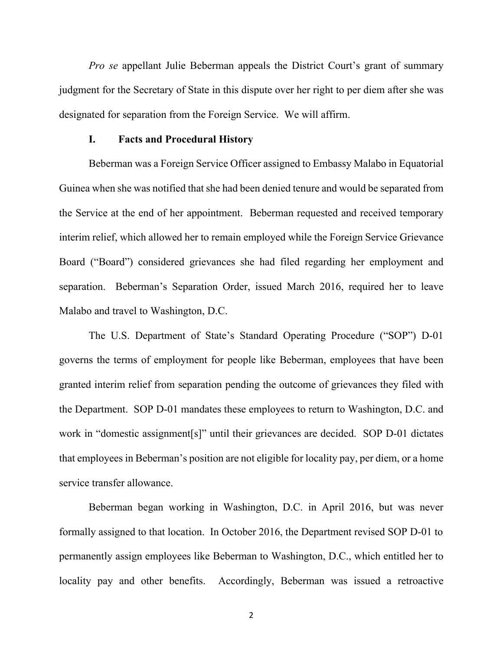*Pro se* appellant Julie Beberman appeals the District Court's grant of summary judgment for the Secretary of State in this dispute over her right to per diem after she was designated for separation from the Foreign Service. We will affirm.

#### **I. Facts and Procedural History**

Beberman was a Foreign Service Officer assigned to Embassy Malabo in Equatorial Guinea when she was notified that she had been denied tenure and would be separated from the Service at the end of her appointment. Beberman requested and received temporary interim relief, which allowed her to remain employed while the Foreign Service Grievance Board ("Board") considered grievances she had filed regarding her employment and separation. Beberman's Separation Order, issued March 2016, required her to leave Malabo and travel to Washington, D.C.

The U.S. Department of State's Standard Operating Procedure ("SOP") D-01 governs the terms of employment for people like Beberman, employees that have been granted interim relief from separation pending the outcome of grievances they filed with the Department. SOP D-01 mandates these employees to return to Washington, D.C. and work in "domestic assignment[s]" until their grievances are decided.SOP D-01 dictates that employees in Beberman's position are not eligible for locality pay, per diem, or a home service transfer allowance.

Beberman began working in Washington, D.C. in April 2016, but was never formally assigned to that location. In October 2016, the Department revised SOP D-01 to permanently assign employees like Beberman to Washington, D.C., which entitled her to locality pay and other benefits. Accordingly, Beberman was issued a retroactive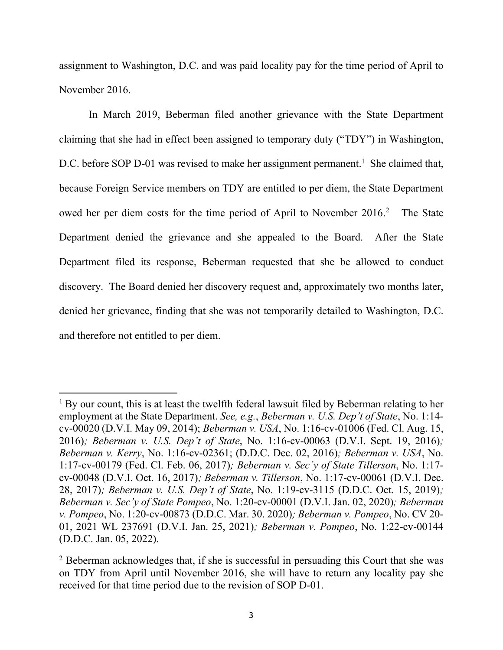assignment to Washington, D.C. and was paid locality pay for the time period of April to November 2016.

In March 2019, Beberman filed another grievance with the State Department claiming that she had in effect been assigned to temporary duty ("TDY") in Washington, D.C. before SOP D-01 was revised to make her assignment permanent.<sup>1</sup> She claimed that, because Foreign Service members on TDY are entitled to per diem, the State Department owed her per diem costs for the time period of April to November 2016. The State Department denied the grievance and she appealed to the Board. After the State Department filed its response, Beberman requested that she be allowed to conduct discovery. The Board denied her discovery request and, approximately two months later, denied her grievance, finding that she was not temporarily detailed to Washington, D.C. and therefore not entitled to per diem.

 $1$  By our count, this is at least the twelfth federal lawsuit filed by Beberman relating to her employment at the State Department. *See, e.g.*, *Beberman v. U.S. Dep't of State*, No. 1:14 cv-00020 (D.V.I. May 09, 2014); *Beberman v. USA*, No. 1:16-cv-01006 (Fed. Cl. Aug. 15, 2016)*; Beberman v. U.S. Dep't of State*, No. 1:16-cv-00063 (D.V.I. Sept. 19, 2016)*; Beberman v. Kerry*, No. 1:16-cv-02361; (D.D.C. Dec. 02, 2016)*; Beberman v. USA*, No. 1:17-cv-00179 (Fed. Cl. Feb. 06, 2017)*; Beberman v. Sec'y of State Tillerson*, No. 1:17 cv-00048 (D.V.I. Oct. 16, 2017)*; Beberman v. Tillerson*, No. 1:17-cv-00061 (D.V.I. Dec. 28, 2017)*; Beberman v. U.S. Dep't of State*, No. 1:19-cv-3115 (D.D.C. Oct. 15, 2019)*; Beberman v. Sec'y of State Pompeo*, No. 1:20-cv-00001 (D.V.I. Jan. 02, 2020)*; Beberman v. Pompeo*, No. 1:20-cv-00873 (D.D.C. Mar. 30. 2020)*; Beberman v. Pompeo*, No. CV 20- 01, 2021 WL 237691 (D.V.I. Jan. 25, 2021)*; Beberman v. Pompeo*, No. 1:22-cv-00144 (D.D.C. Jan. 05, 2022).

 $2$  Beberman acknowledges that, if she is successful in persuading this Court that she was on TDY from April until November 2016, she will have to return any locality pay she received for that time period due to the revision of SOP D-01.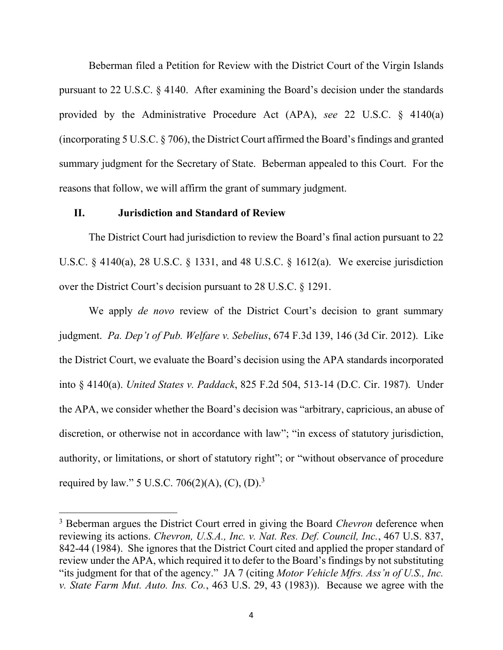Beberman filed a Petition for Review with the District Court of the Virgin Islands pursuant to 22 U.S.C. § 4140. After examining the Board's decision under the standards provided by the Administrative Procedure Act (APA), *see* 22 U.S.C. § 4140(a) (incorporating 5 U.S.C. § 706), the District Court affirmed the Board's findings and granted summary judgment for the Secretary of State. Beberman appealed to this Court. For the reasons that follow, we will affirm the grant of summary judgment.

## **II. Jurisdiction and Standard of Review**

The District Court had jurisdiction to review the Board's final action pursuant to 22 U.S.C. § 4140(a), 28 U.S.C. § 1331, and 48 U.S.C. § 1612(a). We exercise jurisdiction over the District Court's decision pursuant to 28 U.S.C. § 1291.

We apply *de novo* review of the District Court's decision to grant summary judgment. *Pa. Dep't of Pub. Welfare v. Sebelius*, 674 F.3d 139, 146 (3d Cir. 2012). Like the District Court, we evaluate the Board's decision using the APA standards incorporated into § 4140(a). *United States v. Paddack*, 825 F.2d 504, 513-14 (D.C. Cir. 1987). Under the APA, we consider whether the Board's decision was "arbitrary, capricious, an abuse of discretion, or otherwise not in accordance with law"; "in excess of statutory jurisdiction, authority, or limitations, or short of statutory right"; or "without observance of procedure required by law." 5 U.S.C. 706(2)(A), (C), (D).<sup>3</sup>

<sup>3</sup> Beberman argues the District Court erred in giving the Board *Chevron* deference when reviewing its actions. *Chevron, U.S.A., Inc. v. Nat. Res. Def. Council, Inc.*, 467 U.S. 837, 842-44 (1984). She ignores that the District Court cited and applied the proper standard of review under the APA, which required it to defer to the Board's findings by not substituting "its judgment for that of the agency." JA 7 (citing *Motor Vehicle Mfrs. Ass'n of U.S., Inc. v. State Farm Mut. Auto. Ins. Co.*, 463 U.S. 29, 43 (1983)). Because we agree with the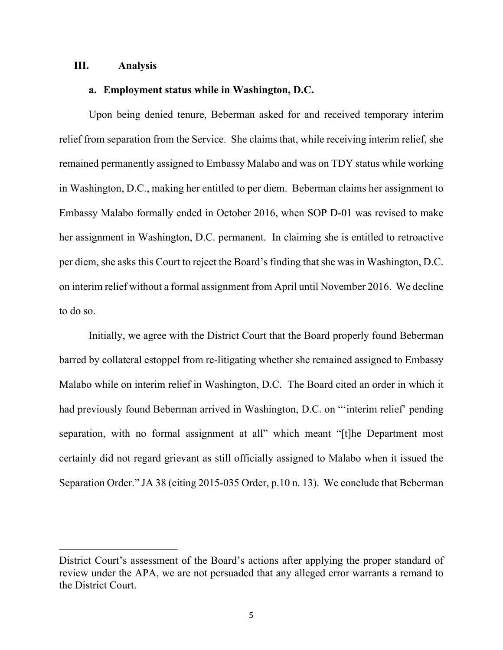### **III. Analysis**

## **a. Employment status while in Washington, D.C.**

Upon being denied tenure, Beberman asked for and received temporary interim relief from separation from the Service. She claims that, while receiving interim relief, she remained permanently assigned to Embassy Malabo and was on TDY status while working in Washington, D.C., making her entitled to per diem. Beberman claims her assignment to Embassy Malabo formally ended in October 2016, when SOP D-01 was revised to make her assignment in Washington, D.C. permanent. In claiming she is entitled to retroactive per diem, she asks this Court to reject the Board's finding that she was in Washington, D.C. on interim relief without a formal assignment from April until November 2016. We decline to do so.

Initially, we agree with the District Court that the Board properly found Beberman barred by collateral estoppel from re-litigating whether she remained assigned to Embassy Malabo while on interim relief in Washington, D.C. The Board cited an order in which it had previously found Beberman arrived in Washington, D.C. on "'interim relief' pending separation, with no formal assignment at all" which meant "[t]he Department most certainly did not regard grievant as still officially assigned to Malabo when it issued the Separation Order." JA 38 (citing 2015-035 Order, p.10 n. 13). We conclude that Beberman

District Court's assessment of the Board's actions after applying the proper standard of review under the APA, we are not persuaded that any alleged error warrants a remand to the District Court.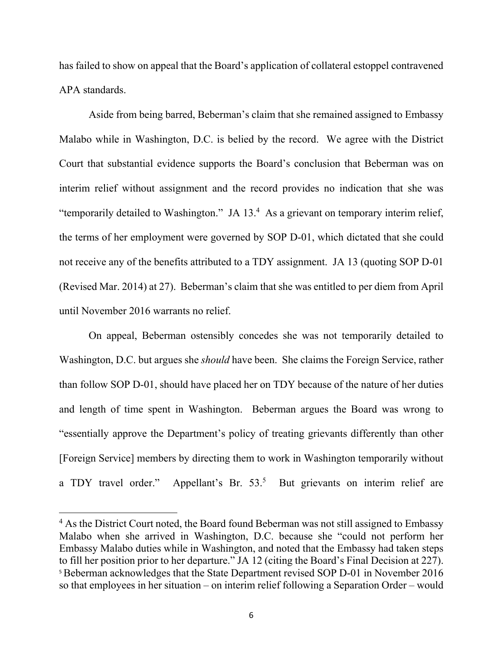has failed to show on appeal that the Board's application of collateral estoppel contravened APA standards.

Aside from being barred, Beberman's claim that she remained assigned to Embassy Malabo while in Washington, D.C. is belied by the record. We agree with the District Court that substantial evidence supports the Board's conclusion that Beberman was on interim relief without assignment and the record provides no indication that she was "temporarily detailed to Washington." JA 13.<sup>4</sup> As a grievant on temporary interim relief, the terms of her employment were governed by SOP D-01, which dictated that she could not receive any of the benefits attributed to a TDY assignment. JA 13 (quoting SOP D-01 (Revised Mar. 2014) at 27). Beberman's claim that she was entitled to per diem from April until November 2016 warrants no relief.

On appeal, Beberman ostensibly concedes she was not temporarily detailed to Washington, D.C. but argues she *should* have been. She claims the Foreign Service, rather than follow SOP D-01, should have placed her on TDY because of the nature of her duties and length of time spent in Washington. Beberman argues the Board was wrong to "essentially approve the Department's policy of treating grievants differently than other [Foreign Service] members by directing them to work in Washington temporarily without a TDY travel order." Appellant's Br.  $53<sup>5</sup>$  But grievants on interim relief are

<sup>&</sup>lt;sup>4</sup> As the District Court noted, the Board found Beberman was not still assigned to Embassy Malabo when she arrived in Washington, D.C. because she "could not perform her Embassy Malabo duties while in Washington, and noted that the Embassy had taken steps to fill her position prior to her departure." JA 12 (citing the Board's Final Decision at 227). <sup>5</sup> Beberman acknowledges that the State Department revised SOP D-01 in November 2016 so that employees in her situation – on interim relief following a Separation Order – would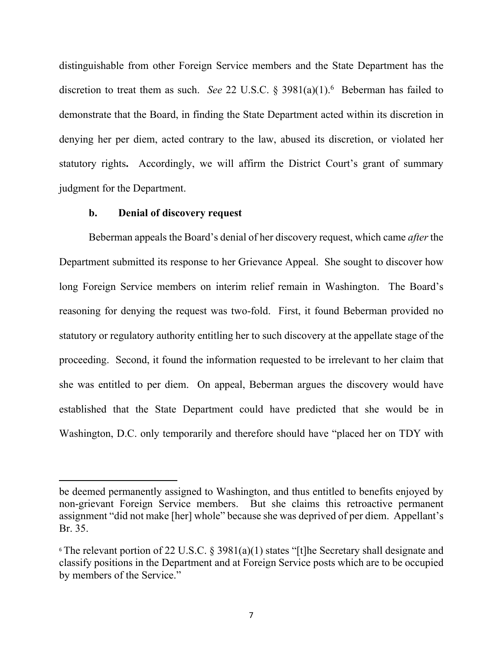distinguishable from other Foreign Service members and the State Department has the discretion to treat them as such. *See* 22 U.S.C. § 3981(a)(1).<sup>6</sup> Beberman has failed to demonstrate that the Board, in finding the State Department acted within its discretion in denying her per diem, acted contrary to the law, abused its discretion, or violated her statutory rights**.** Accordingly, we will affirm the District Court's grant of summary judgment for the Department.

## **b. Denial of discovery request**

Beberman appeals the Board's denial of her discovery request, which came *after* the Department submitted its response to her Grievance Appeal. She sought to discover how long Foreign Service members on interim relief remain in Washington. The Board's reasoning for denying the request was two-fold. First, it found Beberman provided no statutory or regulatory authority entitling her to such discovery at the appellate stage of the proceeding. Second, it found the information requested to be irrelevant to her claim that she was entitled to per diem. On appeal, Beberman argues the discovery would have established that the State Department could have predicted that she would be in Washington, D.C. only temporarily and therefore should have "placed her on TDY with

be deemed permanently assigned to Washington, and thus entitled to benefits enjoyed by non-grievant Foreign Service members. But she claims this retroactive permanent assignment "did not make [her] whole" because she was deprived of per diem. Appellant's Br. 35.

<sup>&</sup>lt;sup>6</sup> The relevant portion of 22 U.S.C. § 3981(a)(1) states "[t]he [Secretary](https://www.law.cornell.edu/definitions/uscode.php?width=840&height=800&iframe=true&def_id=22-USC-1264422296-1861471559&term_occur=999&term_src=title:22:chapter:52:subchapter:V:section:3981) shall designate and classify positions in the [Department](https://www.law.cornell.edu/definitions/uscode.php?width=840&height=800&iframe=true&def_id=22-USC-1453318286-1999710118&term_occur=999&term_src=title:22:chapter:52:subchapter:V:section:3981) and at [Foreign Service](https://www.law.cornell.edu/definitions/uscode.php?width=840&height=800&iframe=true&def_id=22-USC-1493426391-1861471558&term_occur=999&term_src=title:22:chapter:52:subchapter:V:section:3981) posts which are to be occupied by members of the Service."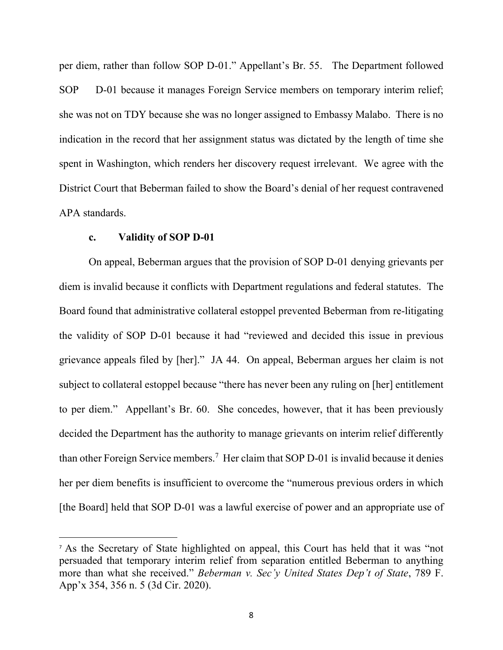per diem, rather than follow SOP D-01." Appellant's Br. 55. The Department followed SOP D-01 because it manages Foreign Service members on temporary interim relief; she was not on TDY because she was no longer assigned to Embassy Malabo. There is no indication in the record that her assignment status was dictated by the length of time she spent in Washington, which renders her discovery request irrelevant. We agree with the District Court that Beberman failed to show the Board's denial of her request contravened APA standards.

### **c. Validity of SOP D-01**

On appeal, Beberman argues that the provision of SOP D-01 denying grievants per diem is invalid because it conflicts with Department regulations and federal statutes. The Board found that administrative collateral estoppel prevented Beberman from re-litigating the validity of SOP D-01 because it had "reviewed and decided this issue in previous grievance appeals filed by [her]." JA 44. On appeal, Beberman argues her claim is not subject to collateral estoppel because "there has never been any ruling on [her] entitlement to per diem." Appellant's Br. 60. She concedes, however, that it has been previously decided the Department has the authority to manage grievants on interim relief differently than other Foreign Service members.<sup>7</sup> Her claim that SOP D-01 is invalid because it denies her per diem benefits is insufficient to overcome the "numerous previous orders in which [the Board] held that SOP D-01 was a lawful exercise of power and an appropriate use of

<sup>7</sup> As the Secretary of State highlighted on appeal, this Court has held that it was "not persuaded that temporary interim relief from separation entitled Beberman to anything more than what she received." *Beberman v. Sec'y United States Dep't of State*, 789 F. App'x 354, 356 n. 5 (3d Cir. 2020).